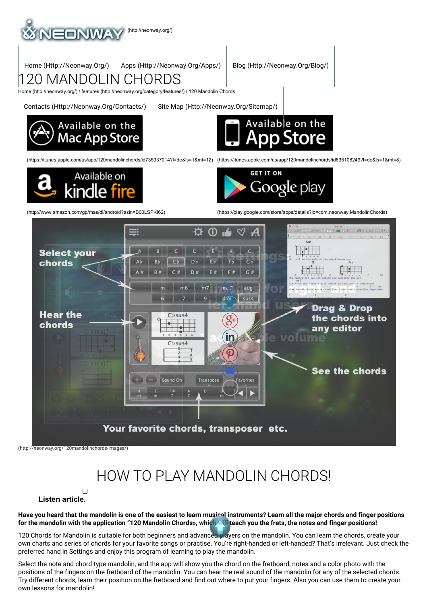

# HOW TO PLAY MANDOLIN CHORDS!

### $\Box$ **Listen article.**

Have you heard that the mandolin is one of the easiest to learn musical instruments? Learn all the major chords and finger positions for the mandolin with the application "120 Mandolin Chords», which will teach you the frets, the notes and finger positions!

120 Chords for Mandolin is suitable for both beginners and advanced players on the mandolin. You can learn the chords, create your own charts and series of chords for your favorite songs or practise. You're right-handed or left-handed? That's irrelevant. Just check the preferred hand in Settings and enjoy this program of learning to play the mandolin.

Select the note and chord type mandolin, and the app will show you the chord on the fretboard, notes and a color photo with the positions of the fingers on the fretboard of the mandolin. You can hear the real sound of the mandolin for any of the selected chords. Try different chords, learn their position on the fretboard and find out where to put your fingers. Also you can use them to create your own lessons for mandolin!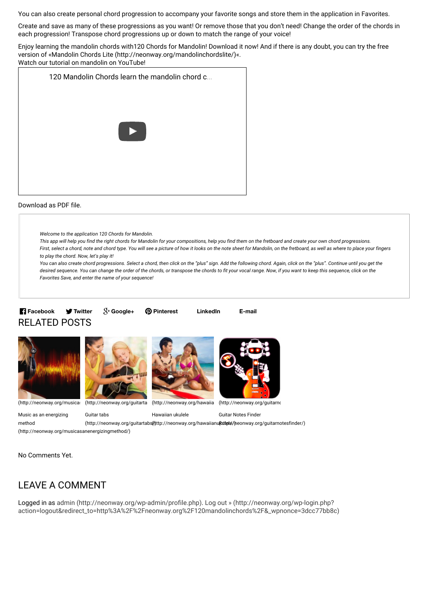You can also create personal chord progression to accompany your favorite songs and store them in the application in Favorites.

Create and save as many of these progressions as you want! Or remove those that you don't need! Change the order of the chords in each progression! Transpose chord progressions up or down to match the range of your voice!

Enjoy learning the mandolin chords with120 Chords for Mandolin! Download it now! And if there is any doubt, you can try the free version of «Mandolin Chords Lite (http://neonway.org/mandolinchordslite/)«.

Watch our tutorial on mandolin on YouTube!



#### Download as PDF file.

Welcome to the application 120 Chords for Mandolin.

This app will help you find the right chords for Mandolin for your compositions, help you find them on the fretboard and create your own chord progressions. First, select a chord, note and chord type. You will see a picture of how it looks on the note sheet for Mandolin, on the fretboard, as well as where to place your fingers to play the chord. Now, let's play it!

You can also create chord progressions. Select a chord, then click on the "plus" sign. Add the following chord. Again, click on the "plus". Continue until you get the desired sequence. You can change the order of the chords, or transpose the chords to fit your vocal range. Now, if you want to keep this sequence, click on the Favorites Save, and enter the name of your sequence!

## RELATED POSTS **Facebook W** Twitter











(http://neonway.org/musica: (http://neonway.org/guitarta (http://neonway.org/hawaiia (http://neonway.org/guitarno

Music as an energizing method (http://neonway.org/musicasanenergizingmethod/) Guitar tabs (http://neonway.org/guitartabs(http://neonway.org/hawaiianu(k**ute**le/)neonway.org/guitarnotesfinder/) Hawaiian ukulele Guitar Notes Finder

No Comments Yet.

## LEAVE A COMMENT

Logged in as admin (http://neonway.org/wp-admin/profile.php). Log out » (http://neonway.org/wp-login.php? action=logout&redirect\_to=http%3A%2F%2Fneonway.org%2F120mandolinchords%2F&\_wpnonce=3dcc77bb8c)